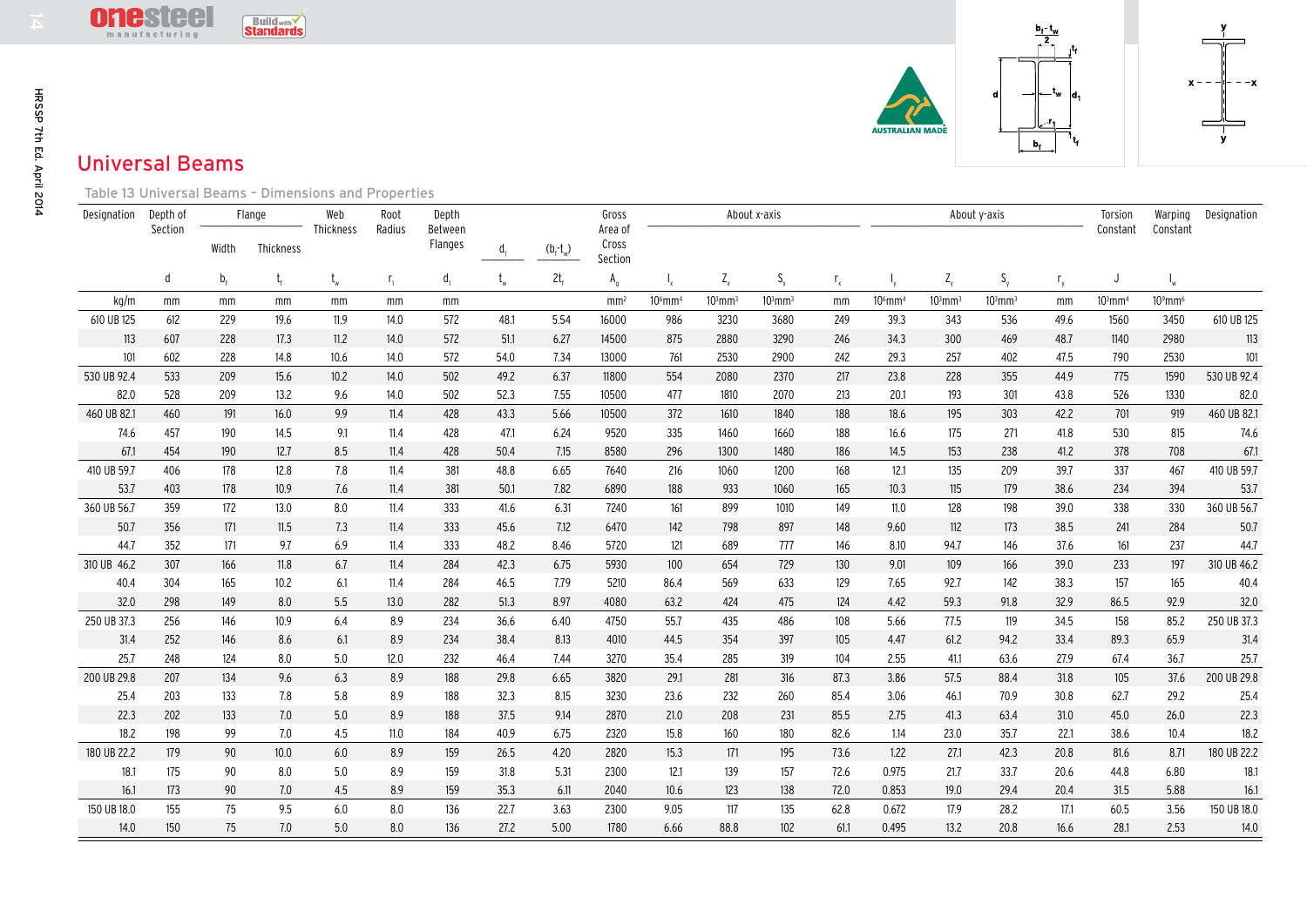



## Universal Beams

|                                                      | <b>IC</b> 21CC<br><b>Build with</b><br><b>Standards</b><br>manufacturing |                    |            |                  |                                     |                             |              |              |                                      |                       |              |              | $\frac{b_1 \cdot t_w}{2}$ |                       |              |              |                              |                       |                           |                     |
|------------------------------------------------------|--------------------------------------------------------------------------|--------------------|------------|------------------|-------------------------------------|-----------------------------|--------------|--------------|--------------------------------------|-----------------------|--------------|--------------|---------------------------|-----------------------|--------------|--------------|------------------------------|-----------------------|---------------------------|---------------------|
| <b>Universal Beams</b>                               |                                                                          |                    |            |                  |                                     |                             |              |              |                                      |                       |              |              |                           | AUSTRALIAN MADE       |              | d            | –t <sub>w</sub><br>ld.<br>b, |                       |                           |                     |
| Table 13 Universal Beams - Dimensions and Properties |                                                                          |                    |            |                  |                                     |                             |              |              |                                      |                       |              |              |                           |                       |              |              |                              |                       |                           |                     |
| Designation                                          | Depth of                                                                 | Flange             |            | Web<br>Thickness | Root<br>Radius                      | Depth<br>Between<br>Flanges | d.           | $(b_f-t_w)$  | Gross<br>Area of<br>Cross<br>Section | About x-axis          |              |              |                           |                       | About y-axis |              | Torsion                      | Warping               | Designation               |                     |
|                                                      | Section                                                                  | Width<br>Thickness |            |                  |                                     |                             |              |              |                                      |                       |              |              |                           |                       |              |              | Constant                     | Constant              |                           |                     |
|                                                      | d                                                                        | b <sub>f</sub>     |            | t <sub>w</sub>   | $\mathsf{r}_{\scriptscriptstyle 1}$ | $d_{i}$                     |              | $2t_{f}$     | $A_{q}$                              |                       | $Z_{x}$      | $S_{\rm x}$  | $\mathsf{r}_{\mathsf{x}}$ |                       | $Z_{y}$      | $S_{\nu}$    | $r_{v}$                      | J                     | $\mathsf{l}_{\mathsf{w}}$ |                     |
| kg/m                                                 | mm                                                                       | mm                 | mm         | mm               | mm                                  | mm                          |              |              | mm <sup>2</sup>                      | $106$ mm <sup>4</sup> | $103$ mm $3$ | $103$ mm $3$ | mm                        | $106$ mm <sup>4</sup> | $103$ mm $3$ | $103$ mm $3$ | mm                           | $103$ mm <sup>4</sup> | $10^9$ mm <sup>6</sup>    |                     |
| 610 UB 125                                           | 612                                                                      | 229                | 19.6       | 11.9             | 14.0                                | 572                         | 48.1         | 5.54         | 16000                                | 986                   | 3230         | 3680         | 249                       | 39.3                  | 343          | 536          | 49.6                         | 1560                  | 3450                      | 610 UB 125          |
| 113                                                  | 607                                                                      | 228                | 17.3       | 11.2             | 14.0                                | 572                         | 51.1         | 6.27         | 14500                                | 875                   | 2880         | 3290         | 246                       | 34.3                  | 300          | 469          | 48.7                         | 1140                  | 2980                      | 113                 |
| 101                                                  | 602                                                                      | 228                | 14.8       | 10.6             | 14.0                                | 572                         | 54.0         | 7.34         | 13000                                | 761                   | 2530         | 2900         | 242                       | 29.3                  | 257          | 402          | 47.5                         | 790                   | 2530                      | 101                 |
| 530 UB 92.4                                          | 533                                                                      | 209                | 15.6       | 10.2             | 14.0                                | 502                         | 49.2         | 6.37         | 11800                                | 554                   | 2080         | 2370         | 217                       | 23.8                  | 228          | 355          | 44.9                         | 775                   | 1590                      | 530 UB 92.4         |
| 82.0                                                 | 528                                                                      | 209                | 13.2       | 9.6              | 14.0                                | 502                         | 52.3         | 7.55         | 10500                                | 477                   | 1810         | 2070         | 213                       | 20.1                  | 193          | 301          | 43.8                         | 526                   | 1330                      | 82.0                |
| 460 UB 82.1                                          | 460                                                                      | 191                | 16.0       | 9.9              | 11.4                                | 428                         | 43.3         | 5.66         | 10500                                | 372                   | 1610         | 1840         | 188                       | 18.6                  | 195          | 303          | 42.2                         | 701                   | 919                       | 460 UB 82.1         |
| 74.6                                                 | 457                                                                      | 190                | 14.5       | 9.1              | 11.4                                | 428                         | 47.1         | 6.24         | 9520                                 | 335                   | 1460         | 1660         | 188                       | 16.6                  | 175          | 271          | 41.8                         | 530                   | 815                       | 74.6                |
| 67.1                                                 | 454                                                                      | 190                | 12.7       | 8.5              | 11.4                                | 428                         | 50.4         | 7.15         | 8580                                 | 296                   | 1300         | 1480         | 186                       | 14.5                  | 153          | 238          | 41.2                         | 378                   | 708                       | 67.1                |
| 410 UB 59.7                                          | 406                                                                      | 178                | 12.8       | 7.8              | 11.4                                | 381                         | 48.8         | 6.65         | 7640                                 | 216                   | 1060         | 1200         | 168                       | 12.1                  | 135          | 209          | 39.7                         | 337                   | 467                       | 410 UB 59.7         |
| 53.7                                                 | 403                                                                      | 178                | 10.9       | 7.6              | 11.4                                | 381                         | 50.1         | 7.82         | 6890                                 | 188                   | 933          | 1060         | 165                       | 10.3                  | 115          | 179          | 38.6                         | 234                   | 394                       | 53.7                |
| 360 UB 56.7                                          | 359                                                                      | 172                | 13.0       | 8.0              | 11.4                                | 333                         | 41.6         | 6.31         | 7240                                 | 161                   | 899          | 1010         | 149                       | 11.0                  | 128          | 198          | 39.0                         | 338                   | 330                       | 360 UB 56.7         |
| 50.7                                                 | 356                                                                      | 171                | 11.5       | 7.3              | 11.4                                | 333                         | 45.6         | 7.12         | 6470                                 | 142                   | 798          | 897          | 148                       | 9.60                  | 112          | 173          | 38.5                         | 241                   | 284                       | 50.7                |
| 44.7                                                 | 352                                                                      | 171                | 9.7        | 6.9              | 11.4                                | 333                         | 48.2         | 8.46         | 5720                                 | 121                   | 689          | 777          | 146                       | 8.10                  | 94.7         | 146          | 37.6                         | 161                   | 237                       | 44.7                |
| 310 UB 46.2                                          | 307                                                                      | 166                | 11.8       | 6.7              | 11.4                                | 284                         | 42.3         | 6.75         | 5930                                 | 100                   | 654          | 729          | 130                       | 9.01                  | 109          | 166          | 39.0                         | 233                   | 197                       | 310 UB 46.2         |
| 40.4                                                 | 304                                                                      | 165                | 10.2       | 6.1              | 11.4                                | 284                         | 46.5         | 7.79         | 5210                                 | 86.4                  | 569          | 633          | 129                       | 7.65                  | 92.7         | 142          | 38.3                         | 157                   | 165                       | 40.4                |
| 32.0                                                 | 298                                                                      | 149                | 8.0        | 5.5              | 13.0                                | 282                         | 51.3         | 8.97         | 4080                                 | 63.2                  | 424          | 475          | 124                       | 4.42                  | 59.3         | 91.8         | 32.9                         | 86.5                  | 92.9                      | 32.0                |
| 250 UB 37.3                                          | 256                                                                      | 146                | 10.9       | 6.4              | 8.9                                 | 234                         | 36.6         | 6.40         | 4750                                 | 55.7                  | 435          | 486          | 108                       | 5.66                  | 77.5         | 119          | 34.5                         | 158                   | 85.2                      | 250 UB 37.3         |
| 31.4                                                 | 252                                                                      | 146                | 8.6        | 6.1              | 8.9                                 | 234                         | 38.4         | 8.13         | 4010                                 | 44.5                  | 354          | 397          | 105                       | 4.47                  | 61.2         | 94.2         | 33.4                         | 89.3                  | 65.9                      | 31.4                |
| 25.7<br>200 UB 29.8                                  | 248<br>207                                                               | 124<br>134         | 8.0<br>9.6 | 5.0<br>6.3       | 12.0<br>8.9                         | 232<br>188                  | 46.4<br>29.8 | 7.44<br>6.65 | 3270<br>3820                         | 35.4<br>29.1          | 285<br>281   | 319<br>316   | 104<br>87.3               | 2.55<br>3.86          | 41.1<br>57.5 | 63.6<br>88.4 | 27.9<br>31.8                 | 67.4<br>105           | 36.7<br>37.6              | 25.7<br>200 UB 29.8 |
| 25.4                                                 | 203                                                                      | 133                | 7.8        | 5.8              | 8.9                                 | 188                         | 32.3         | 8.15         | 3230                                 | 23.6                  | 232          | 260          | 85.4                      | 3.06                  | 46.1         | 70.9         | 30.8                         | 62.7                  | 29.2                      |                     |
|                                                      |                                                                          |                    |            |                  | 8.9                                 |                             |              |              |                                      |                       |              |              |                           |                       |              |              |                              |                       |                           | 25.4<br>22.3        |
| 22.3<br>18.2                                         | 202<br>198                                                               | 133<br>99          | 7.0<br>7.0 | 5.0<br>4.5       | 11.0                                | 188<br>184                  | 37.5<br>40.9 | 9.14<br>6.75 | 2870<br>2320                         | 21.0<br>15.8          | 208<br>160   | 231<br>180   | 85.5<br>82.6              | 2.75<br>1.14          | 41.3<br>23.0 | 63.4<br>35.7 | 31.0<br>22.1                 | 45.0<br>38.6          | 26.0<br>10.4              | 18.2                |
| 180 UB 22.2                                          | 179                                                                      | 90                 | 10.0       | 6.0              | 8.9                                 | 159                         | 26.5         | 4.20         | 2820                                 | 15.3                  | 171          | 195          | 73.6                      | 1.22                  | 27.1         | 42.3         | 20.8                         | 81.6                  | 8.71                      | 180 UB 22.2         |
| 18.1                                                 | 175                                                                      | 90                 | 8.0        | 5.0              | 8.9                                 | 159                         | 31.8         | 5.31         | 2300                                 | 12.1                  | 139          | 157          | 72.6                      | 0.975                 | 21.7         | 33.7         | 20.6                         | 44.8                  | 6.80                      | 18.1                |
| 16.1                                                 | 173                                                                      | 90                 | 7.0        | 4.5              | 8.9                                 | 159                         | 35.3         | 6.11         | 2040                                 | 10.6                  | 123          | 138          | 72.0                      | 0.853                 | 19.0         | 29.4         | 20.4                         | 31.5                  | 5.88                      | 16.1                |
| 150 UB 18.0                                          | 155                                                                      | 75                 | 9.5        | 6.0              | 8.0                                 | 136                         | 22.7         | 3.63         | 2300                                 | 9.05                  | 117          | 135          | 62.8                      | 0.672                 | 17.9         | 28.2         | 17.1                         | 60.5                  | 3.56                      | 150 UB 18.0         |
| 14.0                                                 | 150                                                                      | 75                 | 7.0        | 5.0              | 8.0                                 | 136                         | 27.2         | 5.00         | 1780                                 | 6.66                  | 88.8         | 102          | 61.1                      | 0.495                 | 13.2         | 20.8         | 16.6                         | 28.1                  | 2.53                      | 14.0                |
|                                                      |                                                                          |                    |            |                  |                                     |                             |              |              |                                      |                       |              |              |                           |                       |              |              |                              |                       |                           |                     |